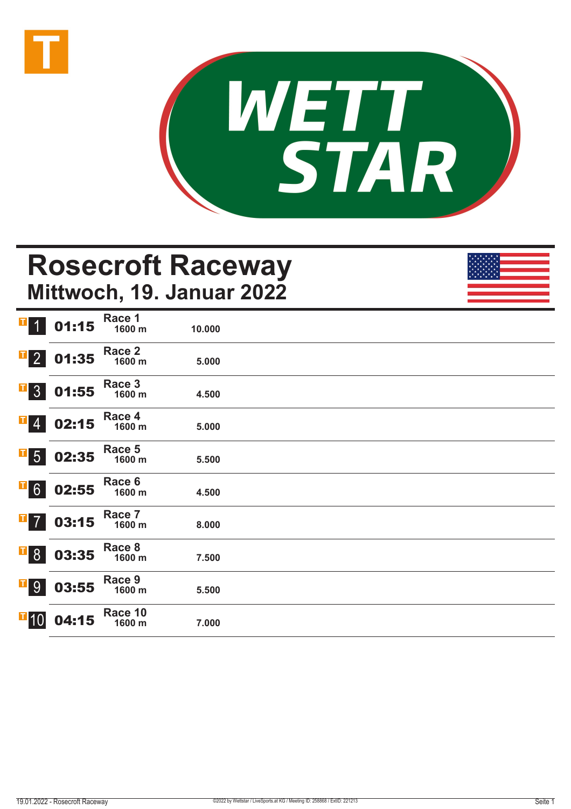



## **Rosecroft Raceway Mittwoch, 19. Januar 2022**

| I<br>$\overline{1}$            | 01:15 | Race 1<br>1600 m  | 10.000 |  |
|--------------------------------|-------|-------------------|--------|--|
| $\mathbf{F}$ 2                 | 01:35 | Race 2<br>1600 m  | 5.000  |  |
| $\mathbf{I}$<br>3 <sup>1</sup> | 01:55 | Race 3<br>1600 m  | 4.500  |  |
| $\mathbf{I}$ 4                 | 02:15 | Race 4<br>1600 m  | 5.000  |  |
| $\overline{\phantom{a}}$ 5     | 02:35 | Race 5<br>1600 m  | 5.500  |  |
| $\overline{1}$ 6               | 02:55 | Race 6<br>1600 m  | 4.500  |  |
| $\mathbf{I}$<br>$\overline{7}$ | 03:15 | Race 7<br>1600 m  | 8.000  |  |
| $\overline{1}8$                | 03:35 | Race 8<br>1600 m  | 7.500  |  |
| <b>F</b> <sub>9</sub>          | 03:55 | Race 9<br>1600 m  | 5.500  |  |
| $\blacksquare$ 10              | 04:15 | Race 10<br>1600 m | 7.000  |  |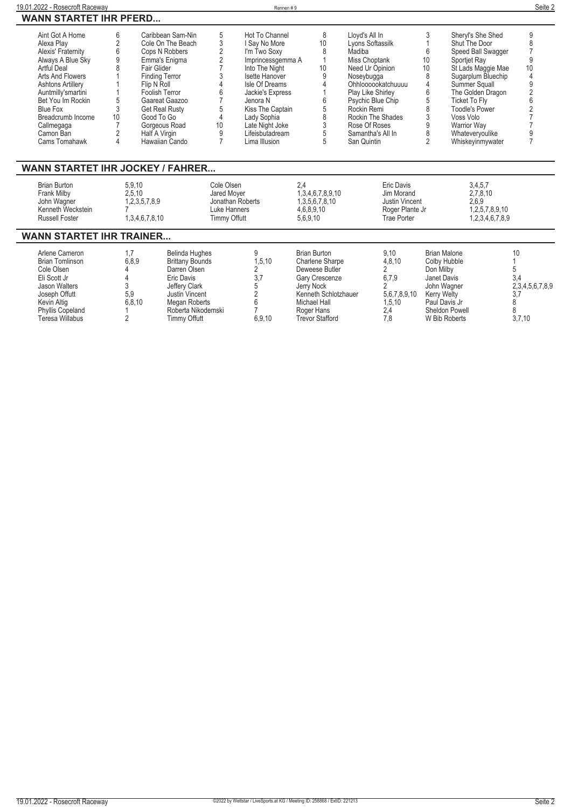| 19.01.2022 - Rosecroft Raceway                                                                                                                                                                                                                                         |                                                                      |                                                                                                                                                                                                                                                                 |                                                                                                                            | Rennen #9                                                                                                                                                                                                                                            |                                                                                                                                         |                                                                                                                                                                                                                                                         |                                                                                           |                                                                                                                                                                                                                                                                                       | Seite 2                                                                                     |
|------------------------------------------------------------------------------------------------------------------------------------------------------------------------------------------------------------------------------------------------------------------------|----------------------------------------------------------------------|-----------------------------------------------------------------------------------------------------------------------------------------------------------------------------------------------------------------------------------------------------------------|----------------------------------------------------------------------------------------------------------------------------|------------------------------------------------------------------------------------------------------------------------------------------------------------------------------------------------------------------------------------------------------|-----------------------------------------------------------------------------------------------------------------------------------------|---------------------------------------------------------------------------------------------------------------------------------------------------------------------------------------------------------------------------------------------------------|-------------------------------------------------------------------------------------------|---------------------------------------------------------------------------------------------------------------------------------------------------------------------------------------------------------------------------------------------------------------------------------------|---------------------------------------------------------------------------------------------|
| <b>WANN STARTET IHR PFERD</b>                                                                                                                                                                                                                                          |                                                                      |                                                                                                                                                                                                                                                                 |                                                                                                                            |                                                                                                                                                                                                                                                      |                                                                                                                                         |                                                                                                                                                                                                                                                         |                                                                                           |                                                                                                                                                                                                                                                                                       |                                                                                             |
| Aint Got A Home<br>Alexa Plav<br>Alexis' Fraternity<br>Always A Blue Sky<br>Artful Deal<br>Arts And Flowers<br><b>Ashtons Artillery</b><br>Auntmilly'smartini<br>Bet You Im Rockin<br><b>Blue Fox</b><br>Breadcrumb Income<br>Callmegaga<br>Camon Ban<br>Cams Tomahawk | 6<br>$\overline{2}$<br>6<br>9<br>5<br>3<br>10<br>$\overline{2}$<br>4 | Caribbean Sam-Nin<br>Cole On The Beach<br>Cops N Robbers<br>Emma's Enigma<br>Fair Glider<br><b>Finding Terror</b><br>Flip N Roll<br>Foolish Terror<br>Gaareat Gaazoo<br><b>Get Real Rusty</b><br>Good To Go<br>Gorgeous Road<br>Half A Virgin<br>Hawaiian Cando | 5<br>3<br>$\overline{2}$<br>$\overline{2}$<br>3<br>$\overline{4}$<br>6<br>5<br>$\overline{4}$<br>10<br>9<br>$\overline{7}$ | Hot To Channel<br>I Say No More<br>I'm Two Soxy<br>Imprincessgemma A<br>Into The Night<br>Isette Hanover<br>Isle Of Dreams<br>Jackie's Express<br>Jenora N<br>Kiss The Captain<br>Lady Sophia<br>Late Night Joke<br>Lifeisbutadream<br>Lima Illusion | 8<br>10<br>8<br>$\mathbf{1}$<br>10<br>9<br>6<br>5<br>8<br>3<br>5<br>5                                                                   | Lloyd's All In<br>Lyons Softassilk<br>Madiba<br>Miss Choptank<br>Need Ur Opinion<br>Noseybugga<br>Ohhloooookatchuuuu<br>Play Like Shirley<br>Psychic Blue Chip<br>Rockin Remi<br>Rockin The Shades<br>Rose Of Roses<br>Samantha's All In<br>San Quintin | 3<br>6<br>10<br>10<br>8<br>$\overline{4}$<br>6<br>5<br>8<br>3<br>9<br>8<br>$\overline{2}$ | Sheryl's She Shed<br>Shut The Door<br>Speed Ball Swagger<br>Sportjet Ray<br>St Lads Maggie Mae<br>Sugarplum Bluechip<br>Summer Squall<br>The Golden Dragon<br><b>Ticket To Fly</b><br><b>Toodle's Power</b><br>Voss Volo<br><b>Warrior Way</b><br>Whateveryoulike<br>Whiskeyinmywater | 9<br>8<br>$\overline{7}$<br>9<br>10<br>4<br>9<br>$\overline{2}$<br>6<br>9<br>$\overline{7}$ |
| <b>WANN STARTET IHR JOCKEY / FAHRER</b>                                                                                                                                                                                                                                |                                                                      |                                                                                                                                                                                                                                                                 |                                                                                                                            |                                                                                                                                                                                                                                                      |                                                                                                                                         |                                                                                                                                                                                                                                                         |                                                                                           |                                                                                                                                                                                                                                                                                       |                                                                                             |
| <b>Brian Burton</b><br>Frank Milby<br>John Wagner<br>Kenneth Weckstein<br><b>Russell Foster</b>                                                                                                                                                                        |                                                                      | 5,9,10<br>2.5.10<br>1,2,3,5,7,8,9<br>1,3,4,6,7,8,10                                                                                                                                                                                                             | Cole Olsen<br>Jared Moyer<br>Jonathan Roberts<br>Luke Hanners<br><b>Timmy Offutt</b>                                       |                                                                                                                                                                                                                                                      | 2.4<br>1,3,4,6,7,8,9,10<br>1,3,5,6,7,8,10<br>4,6,8,9,10<br>5,6,9,10                                                                     | Eric Davis<br>Jim Morand<br>Justin Vincent<br>Roger Plante Jr<br><b>Trae Porter</b>                                                                                                                                                                     |                                                                                           | 3,4,5,7<br>2,7,8,10<br>2,6,9<br>1,2,5,7,8,9,10<br>1,2,3,4,6,7,8,9                                                                                                                                                                                                                     |                                                                                             |
| <b>WANN STARTET IHR TRAINER</b>                                                                                                                                                                                                                                        |                                                                      |                                                                                                                                                                                                                                                                 |                                                                                                                            |                                                                                                                                                                                                                                                      |                                                                                                                                         |                                                                                                                                                                                                                                                         |                                                                                           |                                                                                                                                                                                                                                                                                       |                                                                                             |
| Arlene Cameron<br><b>Brian Tomlinson</b><br>Cole Olsen<br>Eli Scott Jr<br>Jason Walters<br>Joseph Offutt<br>Kevin Altig                                                                                                                                                | 1.7<br>4<br>4<br>3<br>5,9                                            | <b>Belinda Hughes</b><br>6.8.9<br><b>Brittany Bounds</b><br>Darren Olsen<br>Eric Davis<br>Jeffery Clark<br>Justin Vincent<br>6,8,10<br><b>Megan Roberts</b>                                                                                                     |                                                                                                                            | 9<br>1,5,10<br>2<br>3,7<br>5<br>2<br>6                                                                                                                                                                                                               | <b>Brian Burton</b><br><b>Charlene Sharpe</b><br>Deweese Butler<br>Gary Crescenze<br>Jerry Nock<br>Kenneth Schlotzhauer<br>Michael Hall | 9.10<br>4,8,10<br>$\overline{2}$<br>6,7,9<br>$\overline{2}$<br>5,6,7,8,9,10<br>1,5,10                                                                                                                                                                   | Don Milby                                                                                 | <b>Brian Malone</b><br>Colby Hubble<br>Janet Davis<br>John Wagner<br><b>Kerry Welty</b><br>Paul Davis Jr                                                                                                                                                                              | 10<br>5<br>3,4<br>2,3,4,5,6,7,8,9<br>3,7<br>8                                               |

**Phyllis Copeland 1 Roberta Nikodemski 7 Roger Hans 2,4 Sheldon Powell 8 Teresa Willabus 2 Timmy Offutt 6,9,10 Trevor Stafford 7,8 W Bib Roberts 3,7,10**

 $\overline{a}$ 

 $\mathbf{r}$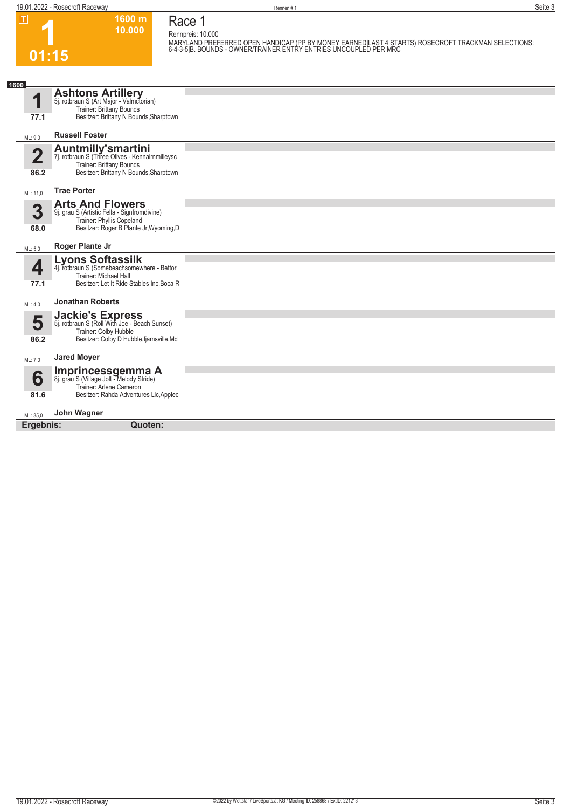**Race 1**

| т     | $1600 \text{ m}$ |
|-------|------------------|
|       | 10.000           |
|       |                  |
| 01:15 |                  |

**Rennpreis: 10.000** MARYLAND PREFERRED OPEN HANDICAP (PP BY MONEY EARNED|LAST 4 STARTS) ROSECROFT TRACKMAN SELECTIONS:<br>6-4-3-5|B. BOUNDS - OWNER/TRAINER ENTRY ENTRIES UNCOUPLED PER MRC

| 1600                            |                                                                                                                                                    |  |
|---------------------------------|----------------------------------------------------------------------------------------------------------------------------------------------------|--|
| и<br>77.1                       | <b>Ashtons Artillery</b><br>5j. rotbraun S (Art Major - Valmctorian)<br>Trainer: Brittany Bounds<br>Besitzer: Brittany N Bounds, Sharptown         |  |
| ML: 9,0                         | <b>Russell Foster</b>                                                                                                                              |  |
| $\overline{\mathbf{2}}$<br>86.2 | <b>Auntmilly'smartini</b><br>7j. rotbraun S (Three Olives - Kennairnmilleysc<br>Trainer: Brittany Bounds<br>Besitzer: Brittany N Bounds, Sharptown |  |
| ML: 11,0                        | <b>Trae Porter</b>                                                                                                                                 |  |
| 3<br>68.0                       | <b>Arts And Flowers</b><br>9j. grau S (Artistic Fella - Signfromdivine)<br>Trainer: Phyllis Copeland<br>Besitzer: Roger B Plante Jr, Wyoming, D    |  |
| ML: 5.0                         | Roger Plante Jr                                                                                                                                    |  |
| 4<br>77.1                       | Lyons Softassilk<br>4j. rotbraun S (Somebeachsomewhere - Bettor<br>Trainer: Michael Hall<br>Besitzer: Let It Ride Stables Inc. Boca R              |  |
| ML: 4,0                         | <b>Jonathan Roberts</b>                                                                                                                            |  |
| 5<br>86.2                       | <b>Jackie's Express</b><br>5j. rotbraun S (Roll With Joe - Beach Sunset)<br>Trainer: Colby Hubble<br>Besitzer: Colby D Hubble, ljamsville, Md      |  |
| ML: 7,0                         | <b>Jared Moyer</b>                                                                                                                                 |  |
| 6<br>81.6                       | <b>Imprincessgemma A</b><br>8j. grau S (Village Jolt - Melody Stride)<br>Trainer: Arlene Cameron<br>Besitzer: Rahda Adventures Llc, Applec         |  |
| ML: 35,0                        | John Wagner                                                                                                                                        |  |
| Ergebnis:                       | Quoten:                                                                                                                                            |  |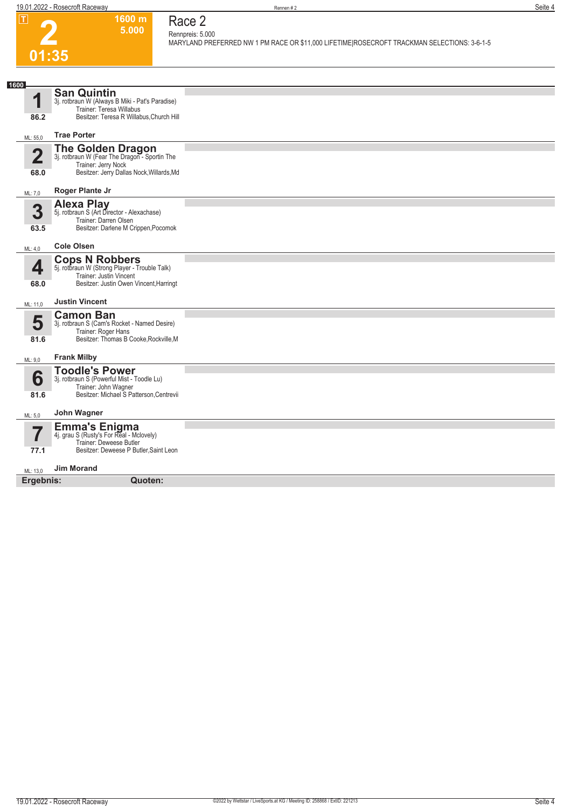## **01:35 1600 m 5.000**

## **Race 2 Rennpreis: 5.000**

**MARYLAND PREFERRED NW 1 PM RACE OR \$11,000 LIFETIME|ROSECROFT TRACKMAN SELECTIONS: 3-6-1-5** 

| 1600<br>$\blacksquare$<br>86.2  | <b>San Quintin</b><br>3j. rotbraun W (Always B Miki - Pat's Paradise)<br>Trainer: Teresa Willabus<br>Besitzer: Teresa R Willabus, Church Hill |  |
|---------------------------------|-----------------------------------------------------------------------------------------------------------------------------------------------|--|
| ML: 55,0                        | <b>Trae Porter</b>                                                                                                                            |  |
| $\overline{\mathbf{2}}$<br>68.0 | The Golden Dragon<br>3j. rotbraun W (Fear The Dragon - Sportin The<br>Trainer: Jerry Nock<br>Besitzer: Jerry Dallas Nock, Willards, Md        |  |
| ML: 7,0                         | Roger Plante Jr                                                                                                                               |  |
| 3<br>63.5                       | <b>Alexa Play</b><br>5j. rotbraun S (Art Director - Alexachase)<br>Trainer: Darren Olsen<br>Besitzer: Darlene M Crippen, Pocomok              |  |
| ML: 4.0                         | <b>Cole Olsen</b>                                                                                                                             |  |
| 4<br>68.0                       | <b>Cops N Robbers</b><br>5j. rotbraun W (Strong Player - Trouble Talk)<br>Trainer: Justin Vincent<br>Besitzer: Justin Owen Vincent, Harringt  |  |
| ML: 11,0                        | <b>Justin Vincent</b>                                                                                                                         |  |
| 5<br>81.6                       | <b>Camon Ban</b><br>3j. rotbraun S (Cam's Rocket - Named Desire)<br>Trainer: Roger Hans<br>Besitzer: Thomas B Cooke, Rockville, M             |  |
| ML: 9,0                         | <b>Frank Milby</b>                                                                                                                            |  |
| 6<br>81.6                       | <b>Toodle's Power</b><br>3j. rotbraun S (Powerful Mist - Toodle Lu)<br>Trainer: John Wagner<br>Besitzer: Michael S Patterson, Centrevii       |  |
| ML: 5,0                         | John Wagner                                                                                                                                   |  |
| ۳,<br>77.1                      | <b>Emma's Enigma</b><br>4j. grau S (Rusty's For Real - Mclovely)<br>Trainer: Deweese Butler<br>Besitzer: Deweese P Butler, Saint Leon         |  |
| ML: 13,0                        | <b>Jim Morand</b>                                                                                                                             |  |
| Ergebnis:                       | Quoten:                                                                                                                                       |  |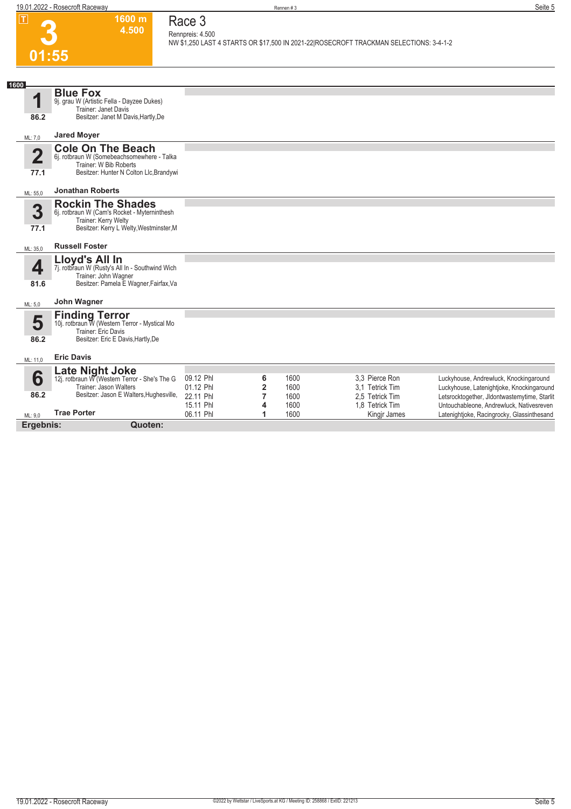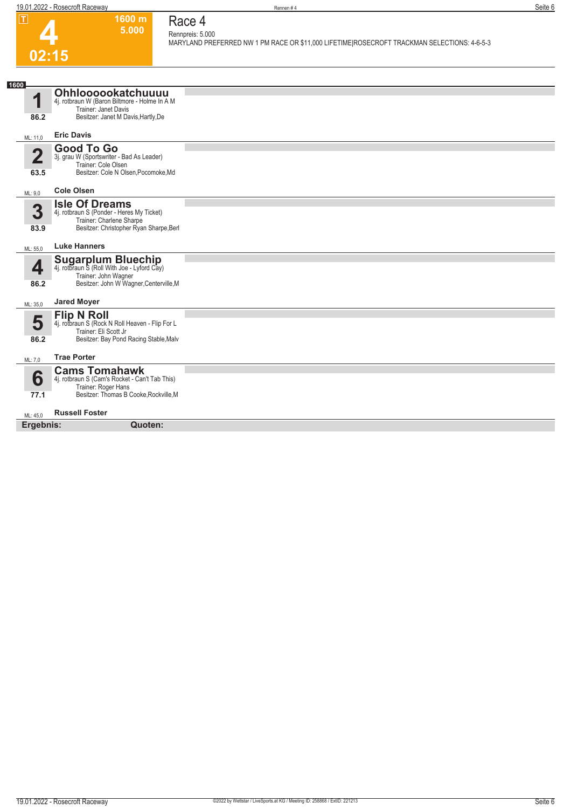|                        | 19.01.2022 - Rosecroft Raceway                                                                                                            | Rennen#4                                                                                                                  | Seite 6 |
|------------------------|-------------------------------------------------------------------------------------------------------------------------------------------|---------------------------------------------------------------------------------------------------------------------------|---------|
| $\mathsf \Pi$<br>02:15 | 1600 m<br>5.000                                                                                                                           | Race 4<br>Rennpreis: 5.000<br>MARYLAND PREFERRED NW 1 PM RACE OR \$11,000 LIFETIME ROSECROFT TRACKMAN SELECTIONS: 4-6-5-3 |         |
| 1600                   |                                                                                                                                           |                                                                                                                           |         |
| 1<br>86.2              | Ohhloooookatchuuuu<br>4j. rotbraun W (Baron Biltmore - Holme In A M<br>Trainer: Janet Davis<br>Besitzer: Janet M Davis, Hartly, De        |                                                                                                                           |         |
| ML: 11,0               | <b>Eric Davis</b>                                                                                                                         |                                                                                                                           |         |
| $\overline{2}$<br>63.5 | <b>Good To Go</b><br>3j. grau W (Sportswriter - Bad As Leader)<br>Trainer: Cole Olsen<br>Besitzer: Cole N Olsen, Pocomoke, Md             |                                                                                                                           |         |
| ML: 9,0                | <b>Cole Olsen</b>                                                                                                                         |                                                                                                                           |         |
| 3<br>83.9              | <b>Isle Of Dreams</b><br>4j. rotbraun S (Ponder - Heres My Ticket)<br>Trainer: Charlene Sharpe<br>Besitzer: Christopher Ryan Sharpe, Berl |                                                                                                                           |         |
| ML: 55,0               | <b>Luke Hanners</b>                                                                                                                       |                                                                                                                           |         |
| 4<br>86.2              | Sugarplum Bluechip<br>4j. rotbraun S (Roll With Joe - Lyford Cay)<br>Trainer: John Wagner<br>Besitzer: John W Wagner, Centerville, M      |                                                                                                                           |         |
| ML: 35,0               | <b>Jared Moyer</b>                                                                                                                        |                                                                                                                           |         |
| 5<br>86.2              | <b>Flip N Roll</b><br>4j. rotbraun S (Rock N Roll Heaven - Flip For L<br>Trainer: Eli Scott Jr<br>Besitzer: Bay Pond Racing Stable, Malv  |                                                                                                                           |         |
| ML: 7,0                | <b>Trae Porter</b>                                                                                                                        |                                                                                                                           |         |
| 6<br>77.1              | <b>Cams Tomahawk</b><br>4j. rotbraun S (Cam's Rocket - Can't Tab This)<br>Trainer: Roger Hans<br>Besitzer: Thomas B Cooke, Rockville, M   |                                                                                                                           |         |
| ML: 45,0               | <b>Russell Foster</b>                                                                                                                     |                                                                                                                           |         |

**Ergebnis: Quoten:**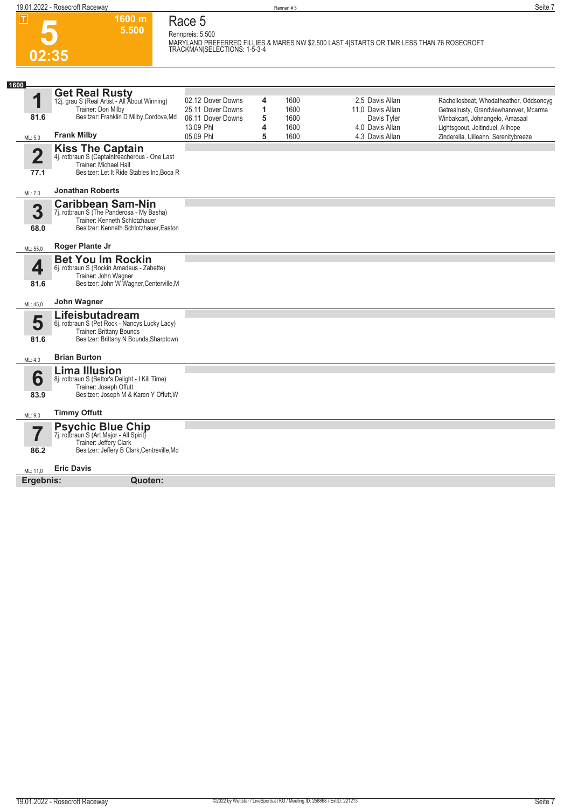**02:35**

**5.500 Race 5 Rennpreis: 5.500**

**1600 m**

**MARYLAND PREFERRED FILLIES & MARES NW \$2,500 LAST 4|STARTS OR TMR LESS THAN 76 ROSECROFT TRACKMAN|SELECTIONS: 1-5-3-4** 

| <b>Get Real Rusty</b><br>1<br>02.12 Dover Downs<br>1600<br>2.5 Davis Allan<br>4<br>Rachellesbeat, Whodatheather, Oddsoncyg<br>12j. grau S (Real Artist - All About Winning)<br>Trainer: Don Milby<br>1<br>25.11 Dover Downs<br>1600<br>11,0 Davis Allan<br>Getrealrusty, Grandviewhanover, Mcarma<br>Besitzer: Franklin D Milby, Cordova, Md<br>81.6<br>5<br>06.11 Dover Downs<br>1600<br>Davis Tyler<br>13.09 Phl<br>4<br>1600<br>4.0 Davis Allan<br><b>Frank Milby</b><br>05.09 Phl<br>5<br>4.3 Davis Allan<br>1600<br>ML: 5,0<br><b>Kiss The Captain</b><br>4j. rotbraun S (Captaintreacherous - One Last<br>$\overline{\mathbf{2}}$<br>Trainer: Michael Hall<br>Besitzer: Let It Ride Stables Inc, Boca R<br>77.1<br><b>Jonathan Roberts</b><br>ML: 7,0<br><b>Caribbean Sam-Nin</b><br>3<br>7j. rotbraun S (The Panderosa - My Basha)<br>Trainer: Kenneth Schlotzhauer<br>Besitzer: Kenneth Schlotzhauer, Easton<br>68.0<br>Roger Plante Jr<br>ML: 55,0<br><b>Bet You Im Rockin</b><br>4<br>6j. rotbraun S (Rockin Amadeus - Zabette)<br>Trainer: John Wagner<br>Besitzer: John W Wagner, Centerville, M<br>81.6<br>John Wagner<br>ML: 45,0<br>Lifeisbutadream<br>5<br>6j. rotbraun S (Pet Rock - Nancys Lucky Lady)<br>Trainer: Brittany Bounds<br>Besitzer: Brittany N Bounds, Sharptown<br>81.6<br><b>Brian Burton</b><br>ML: 4,0<br><b>Lima Illusion</b><br>6<br>8j. rotbraun S (Bettor's Delight - I Kill Time)<br>Trainer: Joseph Offutt<br>Besitzer: Joseph M & Karen Y Offutt, W<br>83.9<br><b>Timmy Offutt</b><br>ML: 9,0<br><b>Psychic Blue Chip</b><br>7j. rotbraun S (Art Major - All Spirit)<br>Trainer: Jeffery Clark<br>Besitzer: Jeffery B Clark, Centreville, Md<br>86.2<br><b>Eric Davis</b><br>ML: 11,0 | 1600      |         |  |  |                                      |
|--------------------------------------------------------------------------------------------------------------------------------------------------------------------------------------------------------------------------------------------------------------------------------------------------------------------------------------------------------------------------------------------------------------------------------------------------------------------------------------------------------------------------------------------------------------------------------------------------------------------------------------------------------------------------------------------------------------------------------------------------------------------------------------------------------------------------------------------------------------------------------------------------------------------------------------------------------------------------------------------------------------------------------------------------------------------------------------------------------------------------------------------------------------------------------------------------------------------------------------------------------------------------------------------------------------------------------------------------------------------------------------------------------------------------------------------------------------------------------------------------------------------------------------------------------------------------------------------------------------------------------------------------------------------------------------------------------------------------------|-----------|---------|--|--|--------------------------------------|
|                                                                                                                                                                                                                                                                                                                                                                                                                                                                                                                                                                                                                                                                                                                                                                                                                                                                                                                                                                                                                                                                                                                                                                                                                                                                                                                                                                                                                                                                                                                                                                                                                                                                                                                                |           |         |  |  |                                      |
|                                                                                                                                                                                                                                                                                                                                                                                                                                                                                                                                                                                                                                                                                                                                                                                                                                                                                                                                                                                                                                                                                                                                                                                                                                                                                                                                                                                                                                                                                                                                                                                                                                                                                                                                |           |         |  |  |                                      |
|                                                                                                                                                                                                                                                                                                                                                                                                                                                                                                                                                                                                                                                                                                                                                                                                                                                                                                                                                                                                                                                                                                                                                                                                                                                                                                                                                                                                                                                                                                                                                                                                                                                                                                                                |           |         |  |  | Winbakcarl, Johnangelo, Amasaal      |
|                                                                                                                                                                                                                                                                                                                                                                                                                                                                                                                                                                                                                                                                                                                                                                                                                                                                                                                                                                                                                                                                                                                                                                                                                                                                                                                                                                                                                                                                                                                                                                                                                                                                                                                                |           |         |  |  | Lightsgoout, Joltinduel, Allhope     |
|                                                                                                                                                                                                                                                                                                                                                                                                                                                                                                                                                                                                                                                                                                                                                                                                                                                                                                                                                                                                                                                                                                                                                                                                                                                                                                                                                                                                                                                                                                                                                                                                                                                                                                                                |           |         |  |  | Zinderella, Uilleann, Serenitybreeze |
|                                                                                                                                                                                                                                                                                                                                                                                                                                                                                                                                                                                                                                                                                                                                                                                                                                                                                                                                                                                                                                                                                                                                                                                                                                                                                                                                                                                                                                                                                                                                                                                                                                                                                                                                |           |         |  |  |                                      |
|                                                                                                                                                                                                                                                                                                                                                                                                                                                                                                                                                                                                                                                                                                                                                                                                                                                                                                                                                                                                                                                                                                                                                                                                                                                                                                                                                                                                                                                                                                                                                                                                                                                                                                                                |           |         |  |  |                                      |
|                                                                                                                                                                                                                                                                                                                                                                                                                                                                                                                                                                                                                                                                                                                                                                                                                                                                                                                                                                                                                                                                                                                                                                                                                                                                                                                                                                                                                                                                                                                                                                                                                                                                                                                                |           |         |  |  |                                      |
|                                                                                                                                                                                                                                                                                                                                                                                                                                                                                                                                                                                                                                                                                                                                                                                                                                                                                                                                                                                                                                                                                                                                                                                                                                                                                                                                                                                                                                                                                                                                                                                                                                                                                                                                |           |         |  |  |                                      |
|                                                                                                                                                                                                                                                                                                                                                                                                                                                                                                                                                                                                                                                                                                                                                                                                                                                                                                                                                                                                                                                                                                                                                                                                                                                                                                                                                                                                                                                                                                                                                                                                                                                                                                                                |           |         |  |  |                                      |
|                                                                                                                                                                                                                                                                                                                                                                                                                                                                                                                                                                                                                                                                                                                                                                                                                                                                                                                                                                                                                                                                                                                                                                                                                                                                                                                                                                                                                                                                                                                                                                                                                                                                                                                                |           |         |  |  |                                      |
|                                                                                                                                                                                                                                                                                                                                                                                                                                                                                                                                                                                                                                                                                                                                                                                                                                                                                                                                                                                                                                                                                                                                                                                                                                                                                                                                                                                                                                                                                                                                                                                                                                                                                                                                |           |         |  |  |                                      |
|                                                                                                                                                                                                                                                                                                                                                                                                                                                                                                                                                                                                                                                                                                                                                                                                                                                                                                                                                                                                                                                                                                                                                                                                                                                                                                                                                                                                                                                                                                                                                                                                                                                                                                                                |           |         |  |  |                                      |
|                                                                                                                                                                                                                                                                                                                                                                                                                                                                                                                                                                                                                                                                                                                                                                                                                                                                                                                                                                                                                                                                                                                                                                                                                                                                                                                                                                                                                                                                                                                                                                                                                                                                                                                                |           |         |  |  |                                      |
|                                                                                                                                                                                                                                                                                                                                                                                                                                                                                                                                                                                                                                                                                                                                                                                                                                                                                                                                                                                                                                                                                                                                                                                                                                                                                                                                                                                                                                                                                                                                                                                                                                                                                                                                |           |         |  |  |                                      |
|                                                                                                                                                                                                                                                                                                                                                                                                                                                                                                                                                                                                                                                                                                                                                                                                                                                                                                                                                                                                                                                                                                                                                                                                                                                                                                                                                                                                                                                                                                                                                                                                                                                                                                                                |           |         |  |  |                                      |
|                                                                                                                                                                                                                                                                                                                                                                                                                                                                                                                                                                                                                                                                                                                                                                                                                                                                                                                                                                                                                                                                                                                                                                                                                                                                                                                                                                                                                                                                                                                                                                                                                                                                                                                                |           |         |  |  |                                      |
|                                                                                                                                                                                                                                                                                                                                                                                                                                                                                                                                                                                                                                                                                                                                                                                                                                                                                                                                                                                                                                                                                                                                                                                                                                                                                                                                                                                                                                                                                                                                                                                                                                                                                                                                |           |         |  |  |                                      |
|                                                                                                                                                                                                                                                                                                                                                                                                                                                                                                                                                                                                                                                                                                                                                                                                                                                                                                                                                                                                                                                                                                                                                                                                                                                                                                                                                                                                                                                                                                                                                                                                                                                                                                                                |           |         |  |  |                                      |
|                                                                                                                                                                                                                                                                                                                                                                                                                                                                                                                                                                                                                                                                                                                                                                                                                                                                                                                                                                                                                                                                                                                                                                                                                                                                                                                                                                                                                                                                                                                                                                                                                                                                                                                                |           |         |  |  |                                      |
|                                                                                                                                                                                                                                                                                                                                                                                                                                                                                                                                                                                                                                                                                                                                                                                                                                                                                                                                                                                                                                                                                                                                                                                                                                                                                                                                                                                                                                                                                                                                                                                                                                                                                                                                |           |         |  |  |                                      |
|                                                                                                                                                                                                                                                                                                                                                                                                                                                                                                                                                                                                                                                                                                                                                                                                                                                                                                                                                                                                                                                                                                                                                                                                                                                                                                                                                                                                                                                                                                                                                                                                                                                                                                                                |           |         |  |  |                                      |
|                                                                                                                                                                                                                                                                                                                                                                                                                                                                                                                                                                                                                                                                                                                                                                                                                                                                                                                                                                                                                                                                                                                                                                                                                                                                                                                                                                                                                                                                                                                                                                                                                                                                                                                                |           |         |  |  |                                      |
|                                                                                                                                                                                                                                                                                                                                                                                                                                                                                                                                                                                                                                                                                                                                                                                                                                                                                                                                                                                                                                                                                                                                                                                                                                                                                                                                                                                                                                                                                                                                                                                                                                                                                                                                |           |         |  |  |                                      |
|                                                                                                                                                                                                                                                                                                                                                                                                                                                                                                                                                                                                                                                                                                                                                                                                                                                                                                                                                                                                                                                                                                                                                                                                                                                                                                                                                                                                                                                                                                                                                                                                                                                                                                                                |           |         |  |  |                                      |
|                                                                                                                                                                                                                                                                                                                                                                                                                                                                                                                                                                                                                                                                                                                                                                                                                                                                                                                                                                                                                                                                                                                                                                                                                                                                                                                                                                                                                                                                                                                                                                                                                                                                                                                                |           |         |  |  |                                      |
|                                                                                                                                                                                                                                                                                                                                                                                                                                                                                                                                                                                                                                                                                                                                                                                                                                                                                                                                                                                                                                                                                                                                                                                                                                                                                                                                                                                                                                                                                                                                                                                                                                                                                                                                |           |         |  |  |                                      |
|                                                                                                                                                                                                                                                                                                                                                                                                                                                                                                                                                                                                                                                                                                                                                                                                                                                                                                                                                                                                                                                                                                                                                                                                                                                                                                                                                                                                                                                                                                                                                                                                                                                                                                                                |           |         |  |  |                                      |
|                                                                                                                                                                                                                                                                                                                                                                                                                                                                                                                                                                                                                                                                                                                                                                                                                                                                                                                                                                                                                                                                                                                                                                                                                                                                                                                                                                                                                                                                                                                                                                                                                                                                                                                                |           |         |  |  |                                      |
|                                                                                                                                                                                                                                                                                                                                                                                                                                                                                                                                                                                                                                                                                                                                                                                                                                                                                                                                                                                                                                                                                                                                                                                                                                                                                                                                                                                                                                                                                                                                                                                                                                                                                                                                |           |         |  |  |                                      |
|                                                                                                                                                                                                                                                                                                                                                                                                                                                                                                                                                                                                                                                                                                                                                                                                                                                                                                                                                                                                                                                                                                                                                                                                                                                                                                                                                                                                                                                                                                                                                                                                                                                                                                                                |           |         |  |  |                                      |
|                                                                                                                                                                                                                                                                                                                                                                                                                                                                                                                                                                                                                                                                                                                                                                                                                                                                                                                                                                                                                                                                                                                                                                                                                                                                                                                                                                                                                                                                                                                                                                                                                                                                                                                                |           |         |  |  |                                      |
|                                                                                                                                                                                                                                                                                                                                                                                                                                                                                                                                                                                                                                                                                                                                                                                                                                                                                                                                                                                                                                                                                                                                                                                                                                                                                                                                                                                                                                                                                                                                                                                                                                                                                                                                | Ergebnis: | Quoten: |  |  |                                      |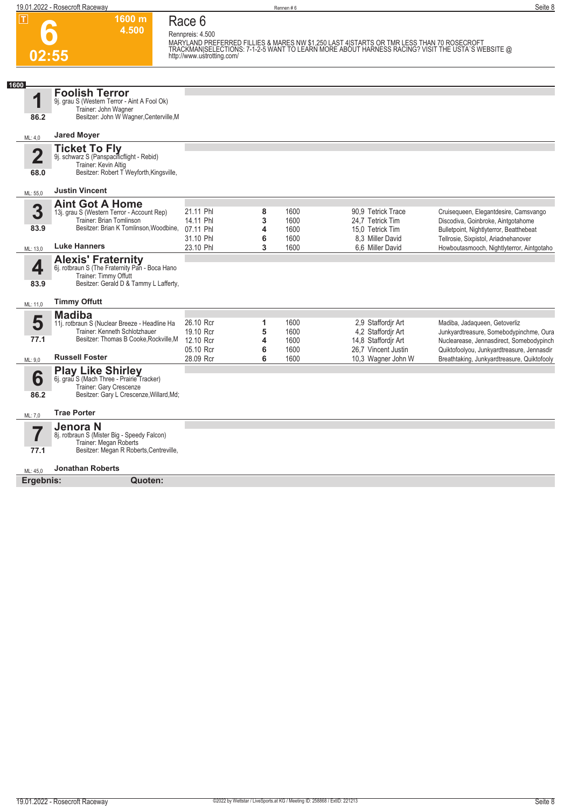|                                 | 1600 m<br>4.500                                                                                                                                | Race 6<br>Rennpreis: 4.500 |        |              |                                                                                                                                                                                               |                                                                                     |
|---------------------------------|------------------------------------------------------------------------------------------------------------------------------------------------|----------------------------|--------|--------------|-----------------------------------------------------------------------------------------------------------------------------------------------------------------------------------------------|-------------------------------------------------------------------------------------|
|                                 | 02:55                                                                                                                                          | http://www.ustrotting.com/ |        |              | MARYLAND PREFERRED FILLIES & MARES NW \$1,250 LAST 4 STARTS OR TMR LESS THAN 70 ROSECROFT<br>TRACKMAN SELECTIONS: 7-1-2-5 WANT TO LEARN MORE ABOUT HARNESS RACING? VISIT THE USTA`S WEBSITE @ |                                                                                     |
| 1600                            |                                                                                                                                                |                            |        |              |                                                                                                                                                                                               |                                                                                     |
| 1                               | <b>Foolish Terror</b><br>9j. grau S (Western Terror - Aint A Fool Ok)<br>Trainer: John Wagner                                                  |                            |        |              |                                                                                                                                                                                               |                                                                                     |
| 86.2                            | Besitzer: John W Wagner, Centerville, M                                                                                                        |                            |        |              |                                                                                                                                                                                               |                                                                                     |
| ML: 4,0                         | <b>Jared Moyer</b>                                                                                                                             |                            |        |              |                                                                                                                                                                                               |                                                                                     |
| $\overline{\mathbf{2}}$<br>68.0 | <b>Ticket To Fly</b><br>9j. schwarz S (Panspacificflight - Rebid)<br>Trainer: Kevin Altig<br>Besitzer: Robert T Weyforth, Kingsville,          |                            |        |              |                                                                                                                                                                                               |                                                                                     |
| ML: 55,0                        | <b>Justin Vincent</b>                                                                                                                          |                            |        |              |                                                                                                                                                                                               |                                                                                     |
| 3                               | <b>Aint Got A Home</b><br>13j. grau S (Western Terror - Account Rep)                                                                           | 21.11 Phl                  | 8      | 1600         | 90,9 Tetrick Trace                                                                                                                                                                            | Cruisequeen, Elegantdesire, Camsvango                                               |
|                                 | Trainer: Brian Tomlinson                                                                                                                       | 14.11 Phl                  | 3      | 1600         | 24.7 Tetrick Tim                                                                                                                                                                              | Discodiva, Goinbroke, Aintgotahome                                                  |
| 83.9                            | Besitzer: Brian K Tomlinson, Woodbine,                                                                                                         | 07.11 Phl<br>31.10 Phl     | 4<br>6 | 1600<br>1600 | 15,0 Tetrick Tim<br>8.3 Miller David                                                                                                                                                          | Bulletpoint, Nightlyterror, Beatthebeat                                             |
| ML: 13,0                        | <b>Luke Hanners</b>                                                                                                                            | 23.10 Phl                  | 3      | 1600         | 6,6 Miller David                                                                                                                                                                              | Tellrosie, Sixpistol, Ariadnehanover<br>Howboutasmooch, Nightlyterror, Aintgotaho   |
| 4<br>83.9                       | <b>Alexis' Fraternity</b><br>6j. rotbraun S (The Fraternity Pan - Boca Hano<br>Trainer: Timmy Offutt<br>Besitzer: Gerald D & Tammy L Lafferty, |                            |        |              |                                                                                                                                                                                               |                                                                                     |
| ML: 11,0                        | <b>Timmy Offutt</b>                                                                                                                            |                            |        |              |                                                                                                                                                                                               |                                                                                     |
|                                 | <b>Madiba</b>                                                                                                                                  |                            |        |              |                                                                                                                                                                                               |                                                                                     |
| 5                               | 11j. rotbraun S (Nuclear Breeze - Headline Ha                                                                                                  | 26.10 Rcr                  | 1      | 1600         | 2,9 Staffordir Art                                                                                                                                                                            | Madiba, Jadaqueen, Getoverliz                                                       |
| 77.1                            | Trainer: Kenneth Schlotzhauer<br>Besitzer: Thomas B Cooke, Rockville, M                                                                        | 19.10 Rcr<br>12.10 Rcr     | 5<br>4 | 1600<br>1600 | 4.2 Staffordir Art<br>14,8 Staffordir Art                                                                                                                                                     | Junkyardtreasure, Somebodypinchme, Oura<br>Nuclearease, Jennasdirect, Somebodypinch |
|                                 |                                                                                                                                                | 05.10 Rcr                  | 6      | 1600         | 26,7 Vincent Justin                                                                                                                                                                           | Quiktofoolyou, Junkyardtreasure, Jennasdir                                          |
| ML: 9.0                         | <b>Russell Foster</b>                                                                                                                          | 28.09 Rcr                  | 6      | 1600         | 10,3 Wagner John W                                                                                                                                                                            | Breathtaking, Junkyardtreasure, Quiktofooly                                         |
| 6                               | <b>Play Like Shirley</b><br>6j. grau S (Mach Three - Prairie Tracker)                                                                          |                            |        |              |                                                                                                                                                                                               |                                                                                     |
| 86.2                            | Trainer: Gary Crescenze<br>Besitzer: Gary L Crescenze, Willard, Md;                                                                            |                            |        |              |                                                                                                                                                                                               |                                                                                     |
| ML: 7,0                         | <b>Trae Porter</b>                                                                                                                             |                            |        |              |                                                                                                                                                                                               |                                                                                     |
|                                 | Jenora N                                                                                                                                       |                            |        |              |                                                                                                                                                                                               |                                                                                     |
| 7                               | 8j. rotbraun S (Mister Big - Speedy Falcon)<br>Trainer: Megan Roberts                                                                          |                            |        |              |                                                                                                                                                                                               |                                                                                     |
| 77.1                            | Besitzer: Megan R Roberts, Centreville,                                                                                                        |                            |        |              |                                                                                                                                                                                               |                                                                                     |
| ML: 45,0                        | Jonathan Roberts                                                                                                                               |                            |        |              |                                                                                                                                                                                               |                                                                                     |
| Ergebnis:                       | Quoten:                                                                                                                                        |                            |        |              |                                                                                                                                                                                               |                                                                                     |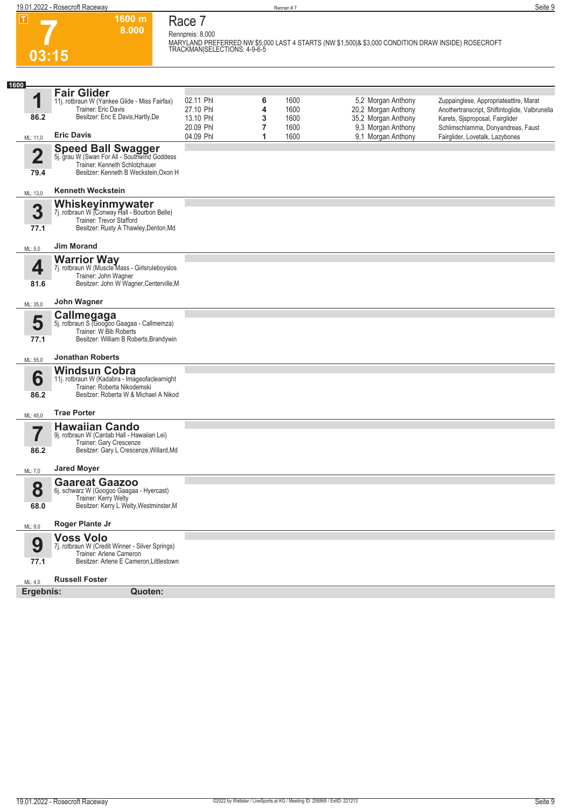

## **Race 7 Rennpreis: 8.000**

**1600 m 8.000** 

**MARYLAND PREFERRED NW \$5,000 LAST 4 STARTS (NW \$1,500|& \$3,000 CONDITION DRAW INSIDE) ROSECROFT TRACKMAN|SELECTIONS: 4-9-6-5** 

| 1600                            |                                                                                                                                                     |                        |        |              |                                           |                                                                                          |
|---------------------------------|-----------------------------------------------------------------------------------------------------------------------------------------------------|------------------------|--------|--------------|-------------------------------------------|------------------------------------------------------------------------------------------|
| 1                               | <b>Fair Glider</b><br>11j. rotbraun W (Yankee Glide - Miss Fairfax)<br>Trainer: Eric Davis                                                          | 02.11 Phl<br>27.10 Phl | 6<br>4 | 1600<br>1600 | 5,2 Morgan Anthony<br>20,2 Morgan Anthony | Zuppainglese, Appropriateattire, Marat<br>Anothertranscript, Shiftintoglide, Valbrunella |
| 86.2                            | Besitzer: Eric E Davis, Hartly, De                                                                                                                  | 13.10 Phl<br>20.09 Phl | 3<br>7 | 1600<br>1600 | 35,2 Morgan Anthony<br>9,3 Morgan Anthony | Karets, Sjsproposal, Fairglider<br>Schlimschlamma, Donyandreas, Faust                    |
| ML: 11,0                        | <b>Eric Davis</b>                                                                                                                                   | 04.09 Phl              | 1      | 1600         | 9,1 Morgan Anthony                        | Fairglider, Lovetalk, Lazybones                                                          |
| $\overline{\mathbf{2}}$<br>79.4 | <b>Speed Ball Swagger</b><br>5j. grau W (Swan For All - Southwind Goddess<br>Trainer: Kenneth Schlotzhauer<br>Besitzer: Kenneth B Weckstein, Oxon H |                        |        |              |                                           |                                                                                          |
| ML: 13,0                        | <b>Kenneth Weckstein</b>                                                                                                                            |                        |        |              |                                           |                                                                                          |
| 3<br>77.1                       | <b>Whiskeyinmywater</b><br>7j. rotbraun W (Conway Hall - Bourbon Belle)<br>Trainer: Trevor Stafford<br>Besitzer: Rusty A Thawley, Denton, Md        |                        |        |              |                                           |                                                                                          |
| ML: 5,0                         | <b>Jim Morand</b>                                                                                                                                   |                        |        |              |                                           |                                                                                          |
| 4<br>81.6                       | <b>Warrior Way</b><br>7j. rotbraun W (Muscle Mass - Girlsruleboyslos<br>Trainer: John Wagner<br>Besitzer: John W Wagner, Centerville, M             |                        |        |              |                                           |                                                                                          |
| ML: 35,0                        | John Wagner                                                                                                                                         |                        |        |              |                                           |                                                                                          |
| 5<br>77.1                       | Callmegaga<br>5j. rotbraun S (Googoo Gaagaa - Callmemza)<br>Trainer: W Bib Roberts<br>Besitzer: William B Roberts, Brandywin                        |                        |        |              |                                           |                                                                                          |
| ML: 55,0                        | <b>Jonathan Roberts</b>                                                                                                                             |                        |        |              |                                           |                                                                                          |
| 6<br>86.2                       | <b>Windsun Cobra</b><br>11j. rotbraun W (Kadabra - Imageofaclearnight<br>Trainer: Roberta Nikodemski<br>Besitzer: Roberta W & Michael A Nikod       |                        |        |              |                                           |                                                                                          |
| ML: 45,0                        | <b>Trae Porter</b>                                                                                                                                  |                        |        |              |                                           |                                                                                          |
| 7                               | <b>Hawaiian Cando</b><br>9j. rotbraun W (Cantab Hall - Hawaiian Lei)<br>Trainer: Gary Crescenze                                                     |                        |        |              |                                           |                                                                                          |
| 86.2                            | Besitzer: Gary L Crescenze, Willard, Md                                                                                                             |                        |        |              |                                           |                                                                                          |
| ML: 7,0                         | <b>Jared Moyer</b>                                                                                                                                  |                        |        |              |                                           |                                                                                          |
| 8<br>68.0                       | <b>Gaareat Gaazoo</b><br>6j. schwarz W (Googoo Gaagaa - Hyercast)<br>Trainer: Kerry Welty<br>Besitzer: Kerry L Welty, Westminster, M                |                        |        |              |                                           |                                                                                          |
|                                 | Roger Plante Jr                                                                                                                                     |                        |        |              |                                           |                                                                                          |
| ML: 9,0                         | <b>Voss Volo</b>                                                                                                                                    |                        |        |              |                                           |                                                                                          |
| 9<br>77.1                       | 7j. rotbraun W (Credit Winner - Silver Springs)<br>Trainer: Arlene Cameron<br>Besitzer: Arlene E Cameron, Littlestown                               |                        |        |              |                                           |                                                                                          |
| ML: 4,0                         | <b>Russell Foster</b>                                                                                                                               |                        |        |              |                                           |                                                                                          |
| Ergebnis:                       | Quoten:                                                                                                                                             |                        |        |              |                                           |                                                                                          |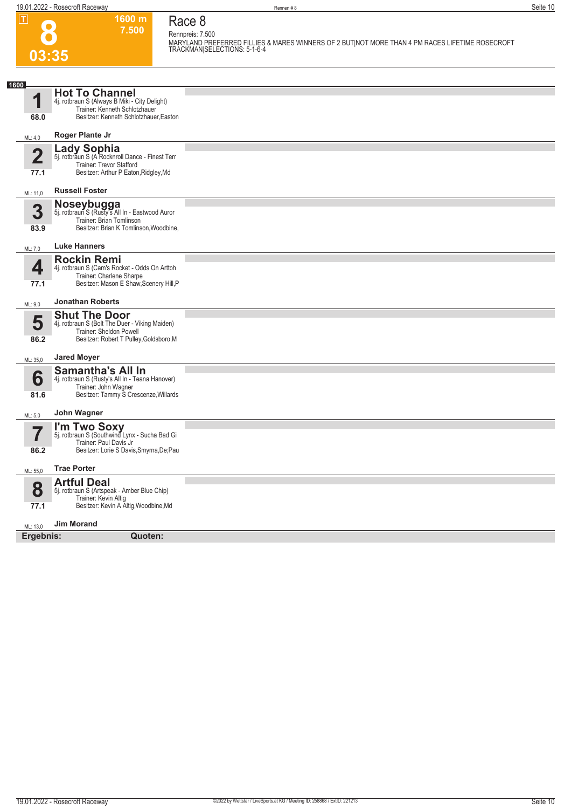**03:35**

**Race 8 Rennpreis: 7.500**

**1600 m 7.500** 

**MARYLAND PREFERRED FILLIES & MARES WINNERS OF 2 BUT|NOT MORE THAN 4 PM RACES LIFETIME ROSECROFT TRACKMAN|SELECTIONS: 5-1-6-4** 

| 1600                |                                                                                                                                              |  |
|---------------------|----------------------------------------------------------------------------------------------------------------------------------------------|--|
| 1                   | <b>Hot To Channel</b><br>4j. rotbraun S (Always B Miki - City Delight)<br>Trainer: Kenneth Schlotzhauer                                      |  |
| 68.0                | Besitzer: Kenneth Schlotzhauer, Easton                                                                                                       |  |
| ML: 4,0             | Roger Plante Jr                                                                                                                              |  |
| $\mathbf 2$<br>77.1 | <b>Lady Sophia</b><br>5j. rotbraun S (A Rocknroll Dance - Finest Terr<br>Trainer: Trevor Stafford<br>Besitzer: Arthur P Eaton, Ridgley, Md   |  |
| ML: 11,0            | <b>Russell Foster</b>                                                                                                                        |  |
| 3<br>83.9           | Noseybugga<br>5j. rotbraun S (Rusty's All In - Eastwood Auror<br>Trainer: Brian Tomlinson<br>Besitzer: Brian K Tomlinson, Woodbine,          |  |
| ML: 7,0             | <b>Luke Hanners</b>                                                                                                                          |  |
| 4<br>77.1           | <b>Rockin Remi</b><br>4j. rotbraun S (Cam's Rocket - Odds On Arttoh<br>Trainer: Charlene Sharpe<br>Besitzer: Mason E Shaw, Scenery Hill, P   |  |
| ML: 9,0             | <b>Jonathan Roberts</b>                                                                                                                      |  |
| 5<br>86.2           | <b>Shut The Door</b><br>4j. rotbraun S (Bolt The Duer - Viking Maiden)<br>Trainer: Sheldon Powell<br>Besitzer: Robert T Pulley, Goldsboro, M |  |
| ML: 35,0            | <b>Jared Moyer</b>                                                                                                                           |  |
| 6                   | <b>Samantha's All In</b><br>4j. rotbraun S (Rusty's All In - Teana Hanover)<br>Trainer: John Wagner<br>Besitzer: Tammy S Crescenze, Willards |  |
| 81.6                |                                                                                                                                              |  |
| ML: 5,0             | John Wagner                                                                                                                                  |  |
| 7                   | I'm Two Soxy<br>5j. rotbraun S (Southwind Lynx - Sucha Bad Gi<br>Trainer: Paul Davis Jr                                                      |  |
| 86.2                | Besitzer: Lorie S Davis, Smyrna, De; Pau                                                                                                     |  |
| ML: 55,0            | <b>Trae Porter</b>                                                                                                                           |  |
| 8                   | <b>Artful Deal</b><br>5j. rotbraun S (Artspeak - Amber Blue Chip)<br>Trainer: Kevin Altig                                                    |  |
| 77.1                | Besitzer: Kevin A Altig, Woodbine, Md                                                                                                        |  |
| ML: 13,0            | <b>Jim Morand</b>                                                                                                                            |  |
| Ergebnis:           | Quoten:                                                                                                                                      |  |
|                     |                                                                                                                                              |  |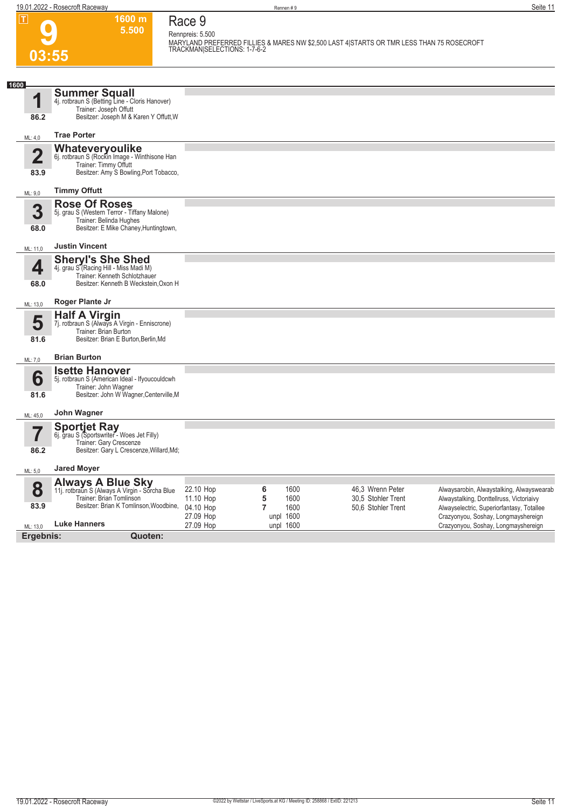**03:55**

**Race 9 Rennpreis: 5.500**

**1600 m 5.500** 

**MARYLAND PREFERRED FILLIES & MARES NW \$2,500 LAST 4|STARTS OR TMR LESS THAN 75 ROSECROFT TRACKMAN|SELECTIONS: 1-7-6-2** 

| 1600<br>И               | <b>Summer Squall</b>                                                       |                                  |                   |                    |                                                                                  |
|-------------------------|----------------------------------------------------------------------------|----------------------------------|-------------------|--------------------|----------------------------------------------------------------------------------|
|                         | 4j. rotbraun S (Betting Line - Cloris Hanover)<br>Trainer: Joseph Offutt   |                                  |                   |                    |                                                                                  |
| 86.2                    | Besitzer: Joseph M & Karen Y Offutt, W                                     |                                  |                   |                    |                                                                                  |
| ML: 4,0                 | <b>Trae Porter</b>                                                         |                                  |                   |                    |                                                                                  |
|                         | Whateveryoulike                                                            |                                  |                   |                    |                                                                                  |
| $\overline{\mathbf{2}}$ | 6j. rotbraun S (Rockin Image - Winthisone Han<br>Trainer: Timmy Offutt     |                                  |                   |                    |                                                                                  |
| 83.9                    | Besitzer: Amy S Bowling, Port Tobacco,                                     |                                  |                   |                    |                                                                                  |
| ML: 9,0                 | <b>Timmy Offutt</b>                                                        |                                  |                   |                    |                                                                                  |
|                         | <b>Rose Of Roses</b>                                                       |                                  |                   |                    |                                                                                  |
| 3                       | 5j. grau S (Western Terror - Tiffany Malone)<br>Trainer: Belinda Hughes    |                                  |                   |                    |                                                                                  |
| 68.0                    | Besitzer: E Mike Chaney, Huntingtown,                                      |                                  |                   |                    |                                                                                  |
| ML: 11.0                | <b>Justin Vincent</b>                                                      |                                  |                   |                    |                                                                                  |
|                         | <b>Sheryl's She Shed</b>                                                   |                                  |                   |                    |                                                                                  |
| 4                       | 4j. grau S (Racing Hill - Miss Madi M)<br>Trainer: Kenneth Schlotzhauer    |                                  |                   |                    |                                                                                  |
| 68.0                    | Besitzer: Kenneth B Weckstein, Oxon H                                      |                                  |                   |                    |                                                                                  |
| ML: 13,0                | Roger Plante Jr                                                            |                                  |                   |                    |                                                                                  |
| 5                       | <b>Half A Virgin</b>                                                       |                                  |                   |                    |                                                                                  |
|                         | 7j. rotbraun S (Always A Virgin - Enniscrone)<br>Trainer: Brian Burton     |                                  |                   |                    |                                                                                  |
| 81.6                    | Besitzer: Brian E Burton, Berlin, Md                                       |                                  |                   |                    |                                                                                  |
| ML: 7,0                 | <b>Brian Burton</b>                                                        |                                  |                   |                    |                                                                                  |
| 6                       | <b>Isette Hanover</b><br>5j. rotbraun S (American Ideal - Ifyoucouldcwh    |                                  |                   |                    |                                                                                  |
| 81.6                    | Trainer: John Wagner<br>Besitzer: John W Wagner, Centerville, M            |                                  |                   |                    |                                                                                  |
|                         |                                                                            |                                  |                   |                    |                                                                                  |
| ML: 45,0                | John Wagner                                                                |                                  |                   |                    |                                                                                  |
|                         | <b>Sportjet Ray</b><br>6j. grau S (Sportswriter - Woes Jet Filly)          |                                  |                   |                    |                                                                                  |
| 86.2                    | Trainer: Gary Crescenze<br>Besitzer: Gary L Crescenze, Willard, Md;        |                                  |                   |                    |                                                                                  |
|                         |                                                                            |                                  |                   |                    |                                                                                  |
| ML: 5,0                 | <b>Jared Moyer</b>                                                         |                                  |                   |                    |                                                                                  |
| 8                       | <b>Always A Blue Sky</b><br>11j. rotbraun S (Always A Virgin - Sorcha Blue | 22.10 Hop<br>6                   | 1600              | 46,3 Wrenn Peter   | Alwaysarobin, Alwaystalking, Alwayswearab                                        |
| 83.9                    | Trainer: Brian Tomlinson<br>Besitzer: Brian K Tomlinson, Woodbine,         | 5<br>11.10 Hop<br>$\overline{7}$ | 1600              | 30.5 Stohler Trent | Alwaystalking, Donttellruss, Victoriaivy                                         |
|                         |                                                                            | 04.10 Hop<br>27.09 Hop           | 1600<br>unpl 1600 | 50.6 Stohler Trent | Alwayselectric, Superiorfantasy, Totallee<br>Crazyonyou, Soshay, Longmayshereign |
| ML: 13,0                | <b>Luke Hanners</b>                                                        | 27.09 Hop                        | unpl 1600         |                    | Crazyonyou, Soshay, Longmayshereign                                              |
| Ergebnis:               | Quoten:                                                                    |                                  |                   |                    |                                                                                  |